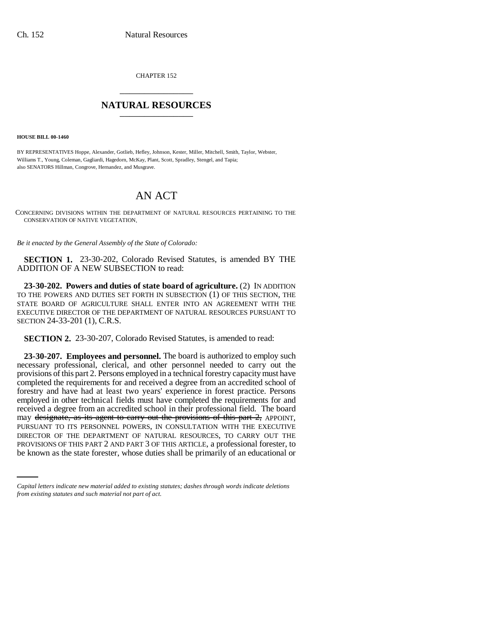CHAPTER 152 \_\_\_\_\_\_\_\_\_\_\_\_\_\_\_

## **NATURAL RESOURCES** \_\_\_\_\_\_\_\_\_\_\_\_\_\_\_

**HOUSE BILL 00-1460** 

BY REPRESENTATIVES Hoppe, Alexander, Gotlieb, Hefley, Johnson, Kester, Miller, Mitchell, Smith, Taylor, Webster, Williams T., Young, Coleman, Gagliardi, Hagedorn, McKay, Plant, Scott, Spradley, Stengel, and Tapia; also SENATORS Hillman, Congrove, Hernandez, and Musgrave.

# AN ACT

CONCERNING DIVISIONS WITHIN THE DEPARTMENT OF NATURAL RESOURCES PERTAINING TO THE CONSERVATION OF NATIVE VEGETATION.

*Be it enacted by the General Assembly of the State of Colorado:*

**SECTION 1.** 23-30-202, Colorado Revised Statutes, is amended BY THE ADDITION OF A NEW SUBSECTION to read:

**23-30-202. Powers and duties of state board of agriculture.** (2) IN ADDITION TO THE POWERS AND DUTIES SET FORTH IN SUBSECTION (1) OF THIS SECTION, THE STATE BOARD OF AGRICULTURE SHALL ENTER INTO AN AGREEMENT WITH THE EXECUTIVE DIRECTOR OF THE DEPARTMENT OF NATURAL RESOURCES PURSUANT TO SECTION 24-33-201 (1), C.R.S.

**SECTION 2.** 23-30-207, Colorado Revised Statutes, is amended to read:

DIRECTOR OF THE DEPARTMENT OF NATURAL RESOURCES, TO CARRY OUT THE **23-30-207. Employees and personnel.** The board is authorized to employ such necessary professional, clerical, and other personnel needed to carry out the provisions of this part 2. Persons employed in a technical forestry capacity must have completed the requirements for and received a degree from an accredited school of forestry and have had at least two years' experience in forest practice. Persons employed in other technical fields must have completed the requirements for and received a degree from an accredited school in their professional field. The board may designate, as its agent to carry out the provisions of this part 2, APPOINT, PURSUANT TO ITS PERSONNEL POWERS, IN CONSULTATION WITH THE EXECUTIVE PROVISIONS OF THIS PART 2 AND PART 3 OF THIS ARTICLE, a professional forester, to be known as the state forester, whose duties shall be primarily of an educational or

*Capital letters indicate new material added to existing statutes; dashes through words indicate deletions from existing statutes and such material not part of act.*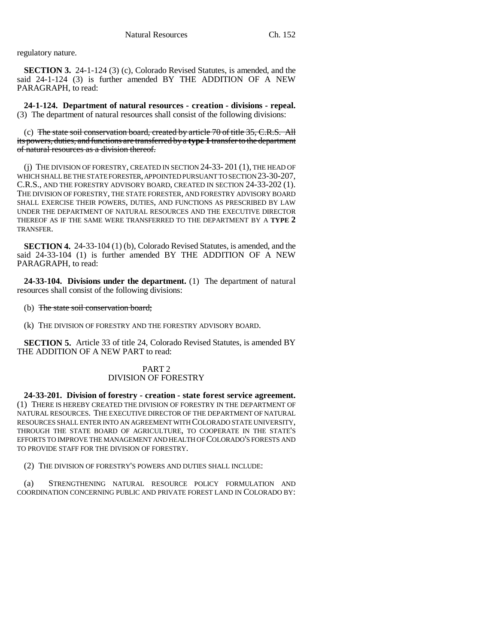regulatory nature.

**SECTION 3.** 24-1-124 (3) (c), Colorado Revised Statutes, is amended, and the said 24-1-124 (3) is further amended BY THE ADDITION OF A NEW PARAGRAPH, to read:

**24-1-124. Department of natural resources - creation - divisions - repeal.** (3) The department of natural resources shall consist of the following divisions:

(c) The state soil conservation board, created by article 70 of title 35, C.R.S. All its powers, duties, and functions are transferred by a **type 1** transfer to the department of natural resources as a division thereof.

(j) THE DIVISION OF FORESTRY, CREATED IN SECTION 24-33- 201 (1), THE HEAD OF WHICH SHALL BE THE STATE FORESTER, APPOINTED PURSUANT TO SECTION 23-30-207, C.R.S., AND THE FORESTRY ADVISORY BOARD, CREATED IN SECTION 24-33-202 (1). THE DIVISION OF FORESTRY, THE STATE FORESTER, AND FORESTRY ADVISORY BOARD SHALL EXERCISE THEIR POWERS, DUTIES, AND FUNCTIONS AS PRESCRIBED BY LAW UNDER THE DEPARTMENT OF NATURAL RESOURCES AND THE EXECUTIVE DIRECTOR THEREOF AS IF THE SAME WERE TRANSFERRED TO THE DEPARTMENT BY A **TYPE 2** TRANSFER.

**SECTION 4.** 24-33-104 (1) (b), Colorado Revised Statutes, is amended, and the said 24-33-104 (1) is further amended BY THE ADDITION OF A NEW PARAGRAPH, to read:

**24-33-104. Divisions under the department.** (1) The department of natural resources shall consist of the following divisions:

- (b) The state soil conservation board;
- (k) THE DIVISION OF FORESTRY AND THE FORESTRY ADVISORY BOARD.

**SECTION 5.** Article 33 of title 24, Colorado Revised Statutes, is amended BY THE ADDITION OF A NEW PART to read:

### PART 2 DIVISION OF FORESTRY

**24-33-201. Division of forestry - creation - state forest service agreement.** (1) THERE IS HEREBY CREATED THE DIVISION OF FORESTRY IN THE DEPARTMENT OF NATURAL RESOURCES. THE EXECUTIVE DIRECTOR OF THE DEPARTMENT OF NATURAL RESOURCES SHALL ENTER INTO AN AGREEMENT WITH COLORADO STATE UNIVERSITY, THROUGH THE STATE BOARD OF AGRICULTURE, TO COOPERATE IN THE STATE'S EFFORTS TO IMPROVE THE MANAGEMENT AND HEALTH OF COLORADO'S FORESTS AND TO PROVIDE STAFF FOR THE DIVISION OF FORESTRY.

(2) THE DIVISION OF FORESTRY'S POWERS AND DUTIES SHALL INCLUDE:

(a) STRENGTHENING NATURAL RESOURCE POLICY FORMULATION AND COORDINATION CONCERNING PUBLIC AND PRIVATE FOREST LAND IN COLORADO BY: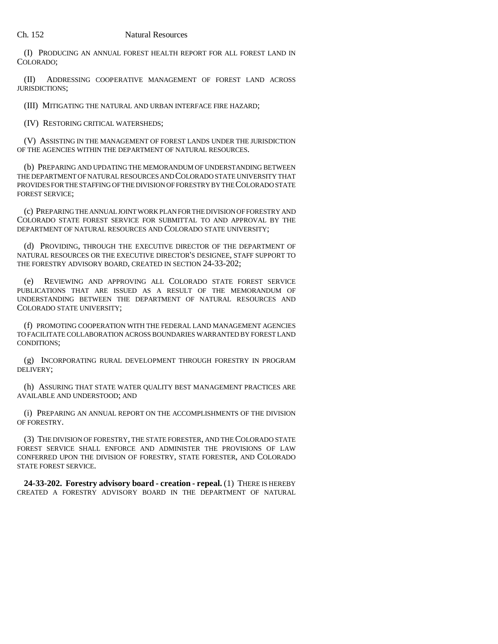(I) PRODUCING AN ANNUAL FOREST HEALTH REPORT FOR ALL FOREST LAND IN COLORADO;

(II) ADDRESSING COOPERATIVE MANAGEMENT OF FOREST LAND ACROSS JURISDICTIONS;

(III) MITIGATING THE NATURAL AND URBAN INTERFACE FIRE HAZARD;

(IV) RESTORING CRITICAL WATERSHEDS;

(V) ASSISTING IN THE MANAGEMENT OF FOREST LANDS UNDER THE JURISDICTION OF THE AGENCIES WITHIN THE DEPARTMENT OF NATURAL RESOURCES.

(b) PREPARING AND UPDATING THE MEMORANDUM OF UNDERSTANDING BETWEEN THE DEPARTMENT OF NATURAL RESOURCES AND COLORADO STATE UNIVERSITY THAT PROVIDES FOR THE STAFFING OF THE DIVISION OF FORESTRY BY THE COLORADO STATE FOREST SERVICE;

(c) PREPARING THE ANNUAL JOINT WORK PLAN FOR THE DIVISION OF FORESTRY AND COLORADO STATE FOREST SERVICE FOR SUBMITTAL TO AND APPROVAL BY THE DEPARTMENT OF NATURAL RESOURCES AND COLORADO STATE UNIVERSITY;

(d) PROVIDING, THROUGH THE EXECUTIVE DIRECTOR OF THE DEPARTMENT OF NATURAL RESOURCES OR THE EXECUTIVE DIRECTOR'S DESIGNEE, STAFF SUPPORT TO THE FORESTRY ADVISORY BOARD, CREATED IN SECTION 24-33-202;

(e) REVIEWING AND APPROVING ALL COLORADO STATE FOREST SERVICE PUBLICATIONS THAT ARE ISSUED AS A RESULT OF THE MEMORANDUM OF UNDERSTANDING BETWEEN THE DEPARTMENT OF NATURAL RESOURCES AND COLORADO STATE UNIVERSITY;

(f) PROMOTING COOPERATION WITH THE FEDERAL LAND MANAGEMENT AGENCIES TO FACILITATE COLLABORATION ACROSS BOUNDARIES WARRANTED BY FOREST LAND CONDITIONS;

(g) INCORPORATING RURAL DEVELOPMENT THROUGH FORESTRY IN PROGRAM DELIVERY;

(h) ASSURING THAT STATE WATER QUALITY BEST MANAGEMENT PRACTICES ARE AVAILABLE AND UNDERSTOOD; AND

(i) PREPARING AN ANNUAL REPORT ON THE ACCOMPLISHMENTS OF THE DIVISION OF FORESTRY.

(3) THE DIVISION OF FORESTRY, THE STATE FORESTER, AND THE COLORADO STATE FOREST SERVICE SHALL ENFORCE AND ADMINISTER THE PROVISIONS OF LAW CONFERRED UPON THE DIVISION OF FORESTRY, STATE FORESTER, AND COLORADO STATE FOREST SERVICE.

**24-33-202. Forestry advisory board - creation - repeal.** (1) THERE IS HEREBY CREATED A FORESTRY ADVISORY BOARD IN THE DEPARTMENT OF NATURAL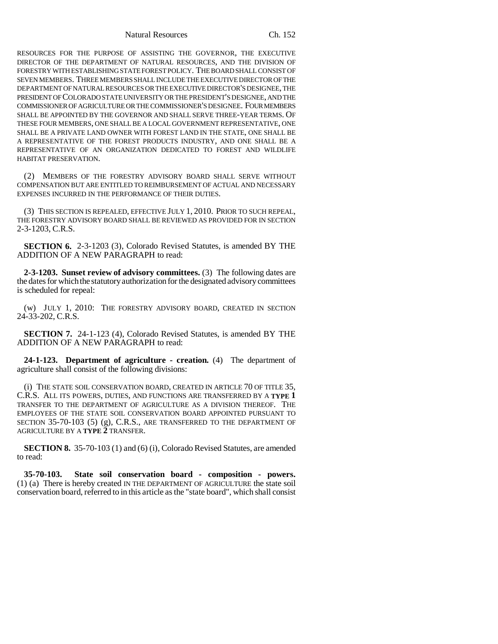Natural Resources Ch. 152

RESOURCES FOR THE PURPOSE OF ASSISTING THE GOVERNOR, THE EXECUTIVE DIRECTOR OF THE DEPARTMENT OF NATURAL RESOURCES, AND THE DIVISION OF FORESTRY WITH ESTABLISHING STATE FOREST POLICY. THE BOARD SHALL CONSIST OF SEVEN MEMBERS. THREE MEMBERS SHALL INCLUDE THE EXECUTIVE DIRECTOR OF THE DEPARTMENT OF NATURAL RESOURCES OR THE EXECUTIVE DIRECTOR'S DESIGNEE, THE PRESIDENT OF COLORADO STATE UNIVERSITY OR THE PRESIDENT'S DESIGNEE, AND THE COMMISSIONER OF AGRICULTURE OR THE COMMISSIONER'S DESIGNEE. FOUR MEMBERS SHALL BE APPOINTED BY THE GOVERNOR AND SHALL SERVE THREE-YEAR TERMS. OF THESE FOUR MEMBERS, ONE SHALL BE A LOCAL GOVERNMENT REPRESENTATIVE, ONE SHALL BE A PRIVATE LAND OWNER WITH FOREST LAND IN THE STATE, ONE SHALL BE A REPRESENTATIVE OF THE FOREST PRODUCTS INDUSTRY, AND ONE SHALL BE A REPRESENTATIVE OF AN ORGANIZATION DEDICATED TO FOREST AND WILDLIFE HABITAT PRESERVATION.

(2) MEMBERS OF THE FORESTRY ADVISORY BOARD SHALL SERVE WITHOUT COMPENSATION BUT ARE ENTITLED TO REIMBURSEMENT OF ACTUAL AND NECESSARY EXPENSES INCURRED IN THE PERFORMANCE OF THEIR DUTIES.

(3) THIS SECTION IS REPEALED, EFFECTIVE JULY 1, 2010. PRIOR TO SUCH REPEAL, THE FORESTRY ADVISORY BOARD SHALL BE REVIEWED AS PROVIDED FOR IN SECTION 2-3-1203, C.R.S.

**SECTION 6.** 2-3-1203 (3), Colorado Revised Statutes, is amended BY THE ADDITION OF A NEW PARAGRAPH to read:

**2-3-1203. Sunset review of advisory committees.** (3) The following dates are the dates for which the statutory authorization for the designated advisory committees is scheduled for repeal:

(w) JULY 1, 2010: THE FORESTRY ADVISORY BOARD, CREATED IN SECTION 24-33-202, C.R.S.

**SECTION 7.** 24-1-123 (4), Colorado Revised Statutes, is amended BY THE ADDITION OF A NEW PARAGRAPH to read:

**24-1-123. Department of agriculture - creation.** (4) The department of agriculture shall consist of the following divisions:

(i) THE STATE SOIL CONSERVATION BOARD, CREATED IN ARTICLE 70 OF TITLE 35, C.R.S. ALL ITS POWERS, DUTIES, AND FUNCTIONS ARE TRANSFERRED BY A **TYPE 1** TRANSFER TO THE DEPARTMENT OF AGRICULTURE AS A DIVISION THEREOF. THE EMPLOYEES OF THE STATE SOIL CONSERVATION BOARD APPOINTED PURSUANT TO SECTION 35-70-103 (5) (g), C.R.S., ARE TRANSFERRED TO THE DEPARTMENT OF AGRICULTURE BY A **TYPE 2** TRANSFER.

**SECTION 8.** 35-70-103 (1) and (6) (i), Colorado Revised Statutes, are amended to read:

**35-70-103. State soil conservation board - composition - powers.** (1) (a) There is hereby created IN THE DEPARTMENT OF AGRICULTURE the state soil conservation board, referred to in this article as the "state board", which shall consist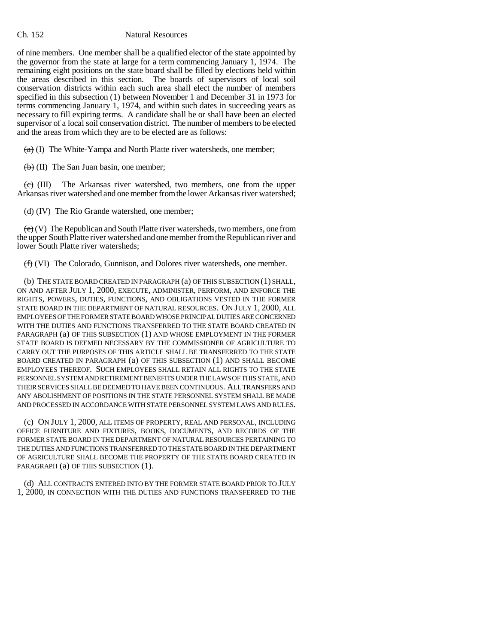#### Ch. 152 Natural Resources

of nine members. One member shall be a qualified elector of the state appointed by the governor from the state at large for a term commencing January 1, 1974. The remaining eight positions on the state board shall be filled by elections held within the areas described in this section. The boards of supervisors of local soil conservation districts within each such area shall elect the number of members specified in this subsection (1) between November 1 and December 31 in 1973 for terms commencing January 1, 1974, and within such dates in succeeding years as necessary to fill expiring terms. A candidate shall be or shall have been an elected supervisor of a local soil conservation district. The number of members to be elected and the areas from which they are to be elected are as follows:

 $(a)$  (I) The White-Yampa and North Platte river watersheds, one member;

 $(b)$  (II) The San Juan basin, one member;

 $\langle e \rangle$  (III) The Arkansas river watershed, two members, one from the upper Arkansas river watershed and one member from the lower Arkansas river watershed;

 $\left(\frac{d}{d}\right)$  (IV) The Rio Grande watershed, one member;

 $(e)$  (V) The Republican and South Platte river watersheds, two members, one from the upper South Platte river watershed and one member from the Republican river and lower South Platte river watersheds;

(f) (VI) The Colorado, Gunnison, and Dolores river watersheds, one member.

(b) THE STATE BOARD CREATED IN PARAGRAPH (a) OF THIS SUBSECTION (1) SHALL, ON AND AFTER JULY 1, 2000, EXECUTE, ADMINISTER, PERFORM, AND ENFORCE THE RIGHTS, POWERS, DUTIES, FUNCTIONS, AND OBLIGATIONS VESTED IN THE FORMER STATE BOARD IN THE DEPARTMENT OF NATURAL RESOURCES. ON JULY 1, 2000, ALL EMPLOYEES OF THE FORMER STATE BOARD WHOSE PRINCIPAL DUTIES ARE CONCERNED WITH THE DUTIES AND FUNCTIONS TRANSFERRED TO THE STATE BOARD CREATED IN PARAGRAPH (a) OF THIS SUBSECTION (1) AND WHOSE EMPLOYMENT IN THE FORMER STATE BOARD IS DEEMED NECESSARY BY THE COMMISSIONER OF AGRICULTURE TO CARRY OUT THE PURPOSES OF THIS ARTICLE SHALL BE TRANSFERRED TO THE STATE BOARD CREATED IN PARAGRAPH (a) OF THIS SUBSECTION (1) AND SHALL BECOME EMPLOYEES THEREOF. SUCH EMPLOYEES SHALL RETAIN ALL RIGHTS TO THE STATE PERSONNEL SYSTEM AND RETIREMENT BENEFITS UNDER THE LAWS OF THIS STATE, AND THEIR SERVICES SHALL BE DEEMED TO HAVE BEEN CONTINUOUS. ALL TRANSFERS AND ANY ABOLISHMENT OF POSITIONS IN THE STATE PERSONNEL SYSTEM SHALL BE MADE AND PROCESSED IN ACCORDANCE WITH STATE PERSONNEL SYSTEM LAWS AND RULES.

(c) ON JULY 1, 2000, ALL ITEMS OF PROPERTY, REAL AND PERSONAL, INCLUDING OFFICE FURNITURE AND FIXTURES, BOOKS, DOCUMENTS, AND RECORDS OF THE FORMER STATE BOARD IN THE DEPARTMENT OF NATURAL RESOURCES PERTAINING TO THE DUTIES AND FUNCTIONS TRANSFERRED TO THE STATE BOARD IN THE DEPARTMENT OF AGRICULTURE SHALL BECOME THE PROPERTY OF THE STATE BOARD CREATED IN PARAGRAPH (a) OF THIS SUBSECTION (1).

(d) ALL CONTRACTS ENTERED INTO BY THE FORMER STATE BOARD PRIOR TO JULY 1, 2000, IN CONNECTION WITH THE DUTIES AND FUNCTIONS TRANSFERRED TO THE